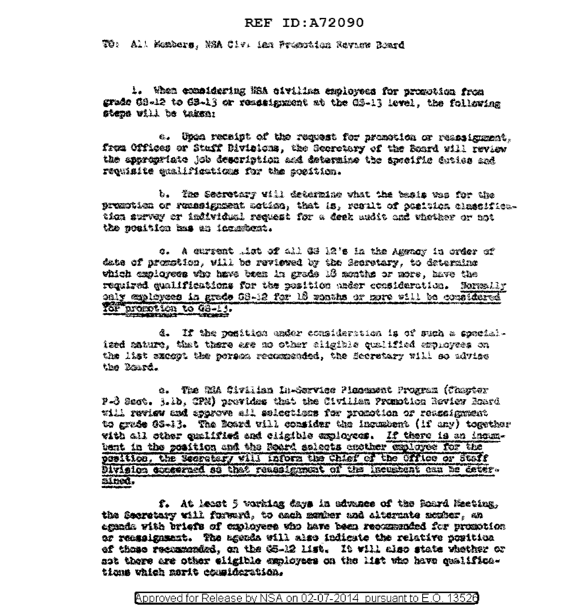## REF ID: A72090

TO: All Monders, NSA Clv. ian Prosphion Review Roard

1. When compidening Was civiling exployees for promotion from grade GS-12 to GB-13 or resesignment at the GS-13 level. the following steps will be taken:

a. Unca receipt of the request for promotion or reassignment. from Offices or Staff Divisions, the Secretary of the Board will review the astrophiste job description and determine the specific duties and requisite qualifications for the position.

b. The Secretary will determine what the basis was for the prumptica or runssignment action, that is, regult of position classification survey or individual request for a deek andit and whother or not the neattion has an incompent.

c. A current that of all GS 12's in the Amenov in order of date of promotion, will be reviewed by the Secretary, to determine which exploress who have been in grade 16 months or more, have the regulred qualifications for the position under consideration. Hormally only employees in grade 68-12 for 13 whats or nore will be considered 102 promotion to G8-13.

d. If the position under consideration is of such a specialized maturo, that there are no other cligible qualified amphoyees on the list except the porses recommended, the Secretary will so advise the Board.

e. The SiA Sivilian In-Service Plesement Program (Chapter P-3 Sect. 3.1b, CPN) provides that the Civilian Promotion Review Roard will review and approve all selections for pronotion or reassignment to grade 08-13. The Board vill consider the incumbent (if any) together vith all other qualified and cligible exployees. If there is an incanbent in the position and the Roard selects another exployes for the position, the Scoratory will inform the Chief of the Cifice or Staff Division concerned so that reassignment of the incustont can be determined.

f. At least 5 working days in advance of the Roard Mecting. the Sacratery will forward, to each monker and alternate newber, an egada vità briefs of capioyers who have been recommended for promotion ar reagaigneest. The asonda will also indicate the relative nowitica of those recurrended, on the CS-12 list. It will also state whether or ast there are other eligible employees on the list who have qualificatians which marit commideration.

Approved for Release by NSA on 02-07-2014 pursuant to E.O. 13526